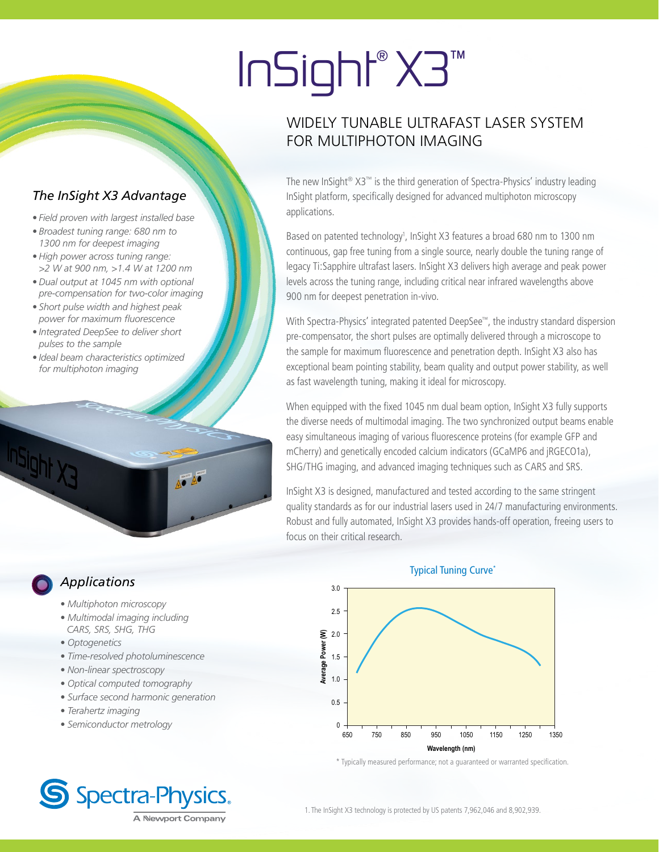# InSight® X3™

## WIDELY TUNABLE ULTRAFAST LASER SYSTEM FOR MULTIPHOTON IMAGING

The new InSight® X3™ is the third generation of Spectra-Physics' industry leading InSight platform, specifically designed for advanced multiphoton microscopy applications.

Based on patented technology<sup>1</sup>, InSight X3 features a broad 680 nm to 1300 nm continuous, gap free tuning from a single source, nearly double the tuning range of legacy Ti:Sapphire ultrafast lasers. InSight X3 delivers high average and peak power levels across the tuning range, including critical near infrared wavelengths above 900 nm for deepest penetration in-vivo.

With Spectra-Physics' integrated patented DeepSee™, the industry standard dispersion pre-compensator, the short pulses are optimally delivered through a microscope to the sample for maximum fluorescence and penetration depth. InSight X3 also has exceptional beam pointing stability, beam quality and output power stability, as well as fast wavelength tuning, making it ideal for microscopy.

When equipped with the fixed 1045 nm dual beam option, InSight X3 fully supports the diverse needs of multimodal imaging. The two synchronized output beams enable easy simultaneous imaging of various fluorescence proteins (for example GFP and mCherry) and genetically encoded calcium indicators (GCaMP6 and jRGECO1a), SHG/THG imaging, and advanced imaging techniques such as CARS and SRS.

InSight X3 is designed, manufactured and tested according to the same stringent quality standards as for our industrial lasers used in 24/7 manufacturing environments. Robust and fully automated, InSight X3 provides hands-off operation, freeing users to focus on their critical research.

## *Applications*

*• Multiphoton microscopy*

*The InSight X3 Advantage*

*pulses to the sample*

InSight y

*for multiphoton imaging*

*• Ideal beam characteristics optimized* 

*• Field proven with largest installed base • Broadest tuning range: 680 nm to 1300 nm for deepest imaging • High power across tuning range: >2 W at 900 nm, >1.4 W at 1200 nm • Dual output at 1045 nm with optional pre-compensation for two-color imaging • Short pulse width and highest peak power for maximum fluorescence • Integrated DeepSee to deliver short* 

- *Multimodal imaging including CARS, SRS, SHG, THG*
- *Optogenetics*
- *Time-resolved photoluminescence*
- *Non-linear spectroscopy*
- *Optical computed tomography*
- *Surface second harmonic generation*
- *Terahertz imaging*
- *Semiconductor metrology*







\* Typically measured performance; not a guaranteed or warranted specification.

1. The InSight X3 technology is protected by US patents 7,962,046 and 8,902,939.